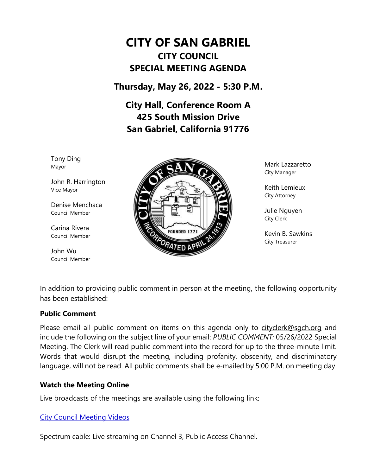# **CITY OF SAN GABRIEL CITY COUNCIL SPECIAL MEETING AGENDA**

**Thursday, May 26, 2022 - 5:30 P.M.**

**City Hall, Conference Room A 425 South Mission Drive San Gabriel, California 91776**

Tony Ding Mayor

John R. Harrington Vice Mayor

Denise Menchaca Council Member

Carina Rivera Council Member

John Wu Council Member



Mark Lazzaretto City Manager

Keith Lemieux City Attorney

Julie Nguyen City Clerk

Kevin B. Sawkins City Treasurer

In addition to providing public comment in person at the meeting, the following opportunity has been established:

#### **Public Comment**

Please email all public comment on items on this agenda only to [cityclerk@sgch.org](mailto:cityclerk@sgch.org) and include the following on the subject line of your email: *PUBLIC COMMENT:* 05/26/2022 Special Meeting. The Clerk will read public comment into the record for up to the three-minute limit. Words that would disrupt the meeting, including profanity, obscenity, and discriminatory language, will not be read. All public comments shall be e-mailed by 5:00 P.M. on meeting day.

#### **Watch the Meeting Online**

Live broadcasts of the meetings are available using the following link:

# [City Council Meeting Videos](https://www.youtube.com/CityofSanGabriel)

Spectrum cable: Live streaming on Channel 3, Public Access Channel.